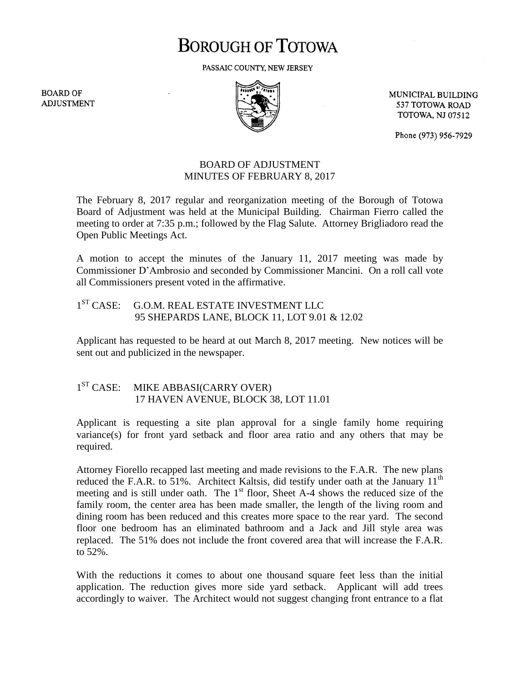## **BOROUGH OF TOTOWA**

PASSAIC COUNTY, NEW JERSEY

**BOARD OF ADJUSTMENT** 



MUNICIPAL BUILDING 537 TOTOWA ROAD **TOTOWA, NJ 07512** 

Phone (973) 956-7929

## BOARD OF ADJUSTMENT MINUTES OF FEBRUARY 8, 2017

The February 8, 2017 regular and reorganization meeting of the Borough of Totowa Board of Adjustment was held at the Municipal Building. Chairman Fierro called the meeting to order at 7:35 p.m.; followed by the Flag Salute. Attorney Brigliadoro read the Open Public Meetings Act.

A motion to accept the minutes of the January 11, 2017 meeting was made by Commissioner D'Ambrosio and seconded by Commissioner Mancini. On a roll call vote all Commissioners present voted in the affirmative.

## $1^{ST}$  CASE: G.O.M. REAL ESTATE INVESTMENT LLC 95 SHEPARDS LANE, BLOCK 11, LOT 9.01 & 12.02

Applicant has requested to be heard at out March 8, 2017 meeting. New notices will be sent out and publicized in the newspaper.

## $1<sup>ST</sup> CASE:$ MIKE ABBASI(CARRY OVER) 17 HAVEN AVENUE, BLOCK 38, LOT 11.01

Applicant is requesting a site plan approval for a single family home requiring variance(s) for front yard setback and floor area ratio and any others that may be required.

Attorney Fiorello recapped last meeting and made revisions to the F.A.R. The new plans reduced the F.A.R. to 51%. Architect Kaltsis, did testify under oath at the January  $11<sup>th</sup>$ meeting and is still under oath. The  $1<sup>st</sup>$  floor, Sheet A-4 shows the reduced size of the family room, the center area has been made smaller, the length of the living room and dining room has been reduced and this creates more space to the rear yard. The second floor one bedroom has an eliminated bathroom and a Jack and Jill style area was replaced. The 51% does not include the front covered area that will increase the F.A.R. to 52%.

With the reductions it comes to about one thousand square feet less than the initial application. The reduction gives more side yard setback. Applicant will add trees accordingly to waiver. The Architect would not suggest changing front entrance to a flat